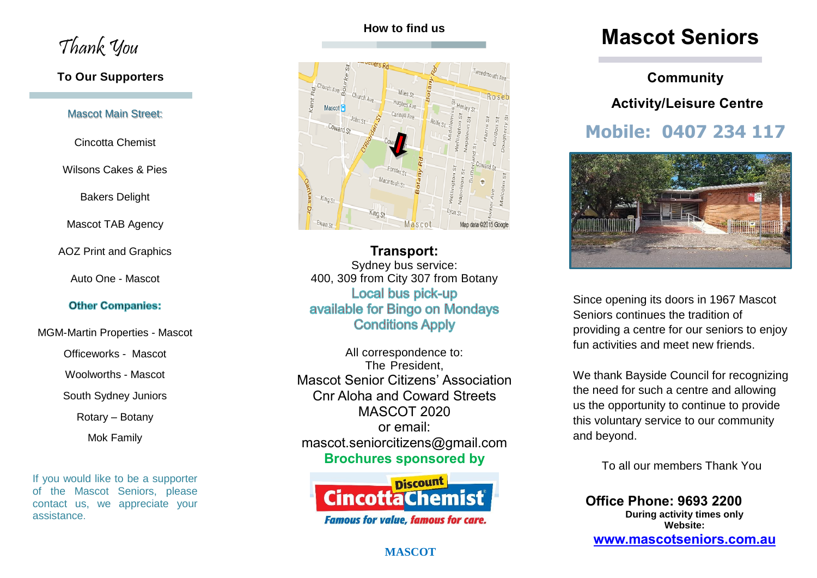Thank You

### **To Our Supporters**

#### Mascot Main Street:

Cincotta Chemist

### Wilsons Cakes & Pies

Bakers Delight

Mascot TAB Agency

AOZ Print and Graphics

Auto One - Mascot

### **Other Companies:**

MGM-Martin Properties - Mascot

Officeworks - Mascot

Woolworths - Mascot

South Sydney Juniors

Rotary – Botany

Mok Family

If you would like to be a supporter of the Mascot Seniors, please contact us, we appreciate your assistance.

## **How to find us**



**Transport:** Sydney bus service: 400, 309 from City 307 from Botany Local bus pick-up available for Bingo on Mondays **Conditions Apply** 

All correspondence to: The President, Mascot Senior Citizens' Association Cnr Aloha and Coward Streets MASCOT 2020 or email: mascot.seniorcitizens@gmail.com **Brochures sponsored by** 



### **MASCOT**

# **Mascot Seniors**

# **Community Activity/Leisure Centre**

# **Mobile: 0407 234 117**



Since opening its doors in 1967 Mascot Seniors continues the tradition of providing a centre for our seniors to enjoy fun activities and meet new friends.

We thank Bayside Council for recognizing the need for such a centre and allowing us the opportunity to continue to provide this voluntary service to our community and beyond.

To all our members Thank You

**Office Phone: 9693 2200 During activity times only Website: [www.mascotseniors.com.](http://www.mascotseniors.com/)au**